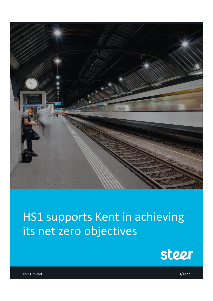

# HS1 supports Kent in achieving its net zero objectives



HS1 Limited 3/4/22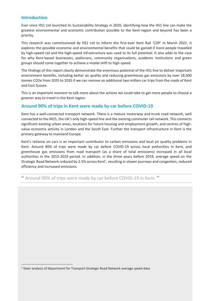## **Introduction**

Ever since HS1 Ltd launched its Sustainability Strategy in 2020, identifying how the HS1 line can make the greatest environmental and economic contribution possible to the Kent-region and beyond has been a priority.

This research was commissioned by HS1 Ltd to inform the first-ever Kent Rail 'COP' in March 2022. It explores the possible economic and environmental benefits that could be gained if more people travelled by high-speed rail and the high-speed infrastructure was used to its full potential. It also adds to the case for why Kent-based businesses, politicians, community organisations, academic institutions and green groups should come together to achieve a modal shift to high-speed.

The findings of this report clearly demonstrate the enormous potential of the HS1 line to deliver important environment benefits, including better air quality and reducing greenhouse gas emissions by over 18,500 tonnes CO2e from 2025 to 2035 if we can remove an additional two million car trips from the roads of Kent and East Sussex.

This is an important moment to talk more about the actions we could take to get more people to choose a greener way to travel in the Kent region.

# **Around 90% of trips in Kent were made by car before COVID-19**

Kent has a well-connected transport network. There is a mature motorway and trunk road network, well connected to the M25, the UK's only high-speed line and the existing commuter rail network. This connects significant existing urban areas, locations for future housing and employment growth, and centres of highvalue economic activity in London and the South East. Further the transport infrastructure in Kent is the primary gateway to mainland Europe.

Kent's reliance on cars is an important contributor to carbon emissions and local air quality problems in Kent. Around 90% of trips were made by car before COVID-19 across local authorities in Kent, and greenhouse gas emissions from road transport (as a share of total emissions) increased in all local authorities in the 2015-2019 period. In addition, in the three years before 2019, average speed on the Strategic Road Network reduced by 2.5% across Kent<sup>1</sup>, resulting in slower journeys and congestion, reduced efficiency and increased emissions.

❝ Around 90% of trips were made by car before COVID-19 in Kent. ❞

<sup>&</sup>lt;sup>1</sup> Steer analysis of Department for Transport Strategic Road Network average speed data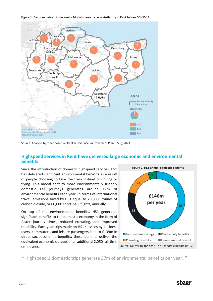



Source: Analysis by Steer based on Kent Bus Service Improvement Plan (BSIP), 2021

## **Highspeed services in Kent have delivered large economic and environmental benefits**

Since the introduction of domestic highspeed services, HS1 has delivered significant environmental benefits as a result of people choosing to take the train instead of driving or flying. This modal shift to more environmentally friendly domestic rail journeys generates around £7m of environmental benefits each year. In terms of international travel, emissions saved by HS1 equal to 750,000 tonnes of carbon dioxide, or 60,000 short-haul flights, annually.

On top of the environmental benefits, HS1 generates significant benefits to the domestic economy in the form of faster journey times, reduced crowding, and improved reliability. Each year trips made on HS1 services by business users, commuters, and leisure passengers lead to £139m in direct socioeconomic benefits; these benefits deliver the equivalent economic outputs of an additional 2,050 full-time employees.



Highspeed 1 domestic trips generate £7m of environmental benefits per year. "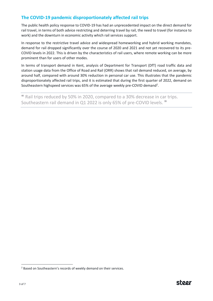# **The COVID-19 pandemic disproportionately affected rail trips**

The public health policy response to COVID-19 has had an unprecedented impact on the direct demand for rail travel, in terms of both advice restricting and deterring travel by rail, the need to travel (for instance to work) and the downturn in economic activity which rail services support.

In response to the restrictive travel advice and widespread homeworking and hybrid working mandates, demand for rail dropped significantly over the course of 2020 and 2021 and not yet recovered to its pre-COVID levels in 2022. This is driven by the characteristics of rail users, where remote working can be more prominent than for users of other modes.

In terms of transport demand in Kent, analysis of Department for Transport (DfT) road traffic data and station usage data from the Office of Road and Rail (ORR) shows that rail demand reduced, on average, by around half, compared with around 30% reduction in personal car use. This illustrates that the pandemic disproportionately affected rail trips, and it is estimated that during the first quarter of 2022, demand on Southeastern highspeed services was 65% of the average weekly pre-COVID demand<sup>2</sup>.

❝ Rail trips reduced by 50% in 2020, compared to a 30% decrease in car trips. Southeastern rail demand in Q1 2022 is only 65% of pre-COVID levels."

<sup>&</sup>lt;sup>2</sup> Based on Southeastern's records of weekly demand on their services.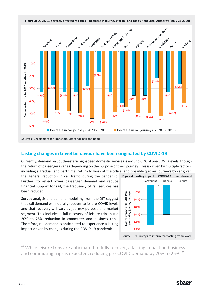

Sources: Department for Transport, Office for Rail and Road

# **Lasting changes in travel behaviour have been originated by COVID-19**

Currently, demand on Southeastern highspeed domestic services is around 65% of pre-COVID levels, though the return of passengers varies depending on the purpose of their journey. This is driven by multiple factors, including a gradual, and part time, return to work at the office, and possible quicker journeys by car given

the general reduction in car traffic during the pandemic. Further, to reflect lower passenger demand and reduce financial support for rail, the frequency of rail services has been reduced.

Survey analysis and demand modelling from the DfT suggest that rail demand will not fully recover to its pre-COVID levels and that recovery will vary by journey purpose and market segment. This includes a full recovery of leisure trips but a 20% to 25% reduction in commuter and business trips. Therefore, rail demand is anticipated to experience a lasting impact driven by changes during the COVID-19 pandemic.



Source: DfT Surveys to inform forecasting framework

❝ While leisure trips are anticipated to fully recover, a lasting impact on business and commuting trips is expected, reducing pre-COVID demand by 20% to 25%. <sup>\*</sup>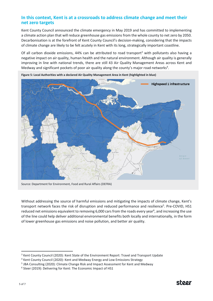## **In this context, Kent is at a crossroads to address climate change and meet their net zero targets**

Kent County Council announced the climate emergency in May 2019 and has committed to implementing a climate action plan that will reduce greenhouse gas emissions from the whole county to net zero by 2050. Decarbonisation is at the forefront of Kent County Council's decision-making, considering that the impacts of climate change are likely to be felt acutely in Kent with its long, strategically important coastline.

Of all carbon dioxide emissions, 44% can be attributed to road transport<sup>3</sup> with pollutants also having a negative impact on air quality, human health and the natural environment. Although air quality is generally improving in line with national trends, there are still 43 Air Quality Management Areas across Kent and Medway and significant pockets of poor air quality along the county's major road networks<sup>4</sup>.



**Figure 5: Local Authorities with a declared Air Quality Management Area in Kent (highlighted in blue)**

Source: Department for Environment, Food and Rural Affairs (DEFRA)

Without addressing the source of harmful emissions and mitigating the impacts of climate change, Kent's transport network faces the risk of disruption and reduced performance and resilience<sup>5</sup>. Pre-COVID, HS1 reduced net emissions equivalent to removing 6,000 cars from the roads every year<sup>6</sup>, and increasing the use of the line could help deliver additional environmental benefits both locally and internationally, in the form of lower greenhouse gas emissions and noise pollution, and better air quality.

<sup>&</sup>lt;sup>3</sup> Kent County Council (2020): Kent State of the Environment Report: Travel and Transport Update

<sup>4</sup> Kent County Council (2020): Kent and Medway Energy and Low Emissions Strategy

<sup>&</sup>lt;sup>5</sup> JBA Consulting (2020): Climate Change Risk and Impact Assessment for Kent and Medway

<sup>&</sup>lt;sup>6</sup> Steer (2019): Delivering for Kent: The Economic Impact of HS1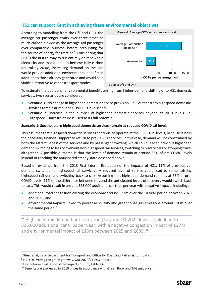# **HS1 can support Kent in achieving these environmental objectives**

According to modelling from the DfT and ORR, the average car passenger emits over three times as much carbon dioxide as the average rail passenger over comparable journeys, before accounting for the source of energy for traction<sup>7</sup>. Considering that HS1 is the first railway to run entirely on renewable electricity and that it aims to become fully carbon neutral by 2030<sup>8</sup>, increasing demand on the line would provide additional environmental benefits in addition to those already generated and would be a viable alternative to other transport modes.



To estimate the additional environmental benefits arising from higher demand shifting onto HS1 domestic services, two scenarios are considered:

- **Scenario 1:** No change in highspeed domestic service provision, i.e. Southeastern highspeed domestic services remain at reduced COVID-19 levels; and
- **Scenario 2:** Increase in the number of highspeed domestic services beyond its 2019 levels, i.e. Highspeed 1 infrastructure is used to its full potential.

#### **Scenario 1: Southeastern highspeed domestic services remain at reduced COVID-19 levels**

This assumes that highspeed domestic services continue to operate at the COVID-19 levels, because it lacks the necessary financial support to return to pre-COVID services. In this case, demand will be constrained by both the attractiveness of the services and by passenger crowding, which could lead to previous highspeed demand switching to less convenient non-highspeed rail services, switching to private cars or stopping travel altogether. A possible outcome is that the levels of demand remain at around 65% of pre-COVID levels instead of reaching the anticipated steady state described above.

Based on evidence from the 2013 First Interim Evaluation of the Impacts of HS1, 11% of previous car demand switched to highspeed rail services<sup>9</sup>. A reduced level of service could lead to some existing highspeed rail demand switching back to cars. Assuming that highspeed demand remains at 65% of pre-COVID levels, 11% of the difference between this and the anticipated levels of recovery would switch back to cars. This would result in around 325,000 additional car trips per year with negative impacts including:

- additional road congestion costing the economy around £27m over the 10-year period between 2025 and 2035; and
- environmental impacts linked to poorer air quality and greenhouse gas emissions around £10m over the same period<sup>10</sup>.

❝ Highspeed rail demand not recovering beyond Q1 2022 levels could lead to 325,000 additional car trips per year, with a negative congestion impact of £27m and environmental impact of £10m between 2025 and 2035. "

 $<sup>7</sup>$  Steer analysis of Department for Transport and Office for Road and Rail emissions data</sup>

<sup>8</sup> HS1: Delivering the green gateway, Our 2020/21 ESG Report

<sup>&</sup>lt;sup>9</sup> First Interim Evaluation of the Impacts of HS1, Table 2.6

<sup>&</sup>lt;sup>10</sup> Benefits are expressed in 2010 prices in accordance with Green Book and TAG guidance